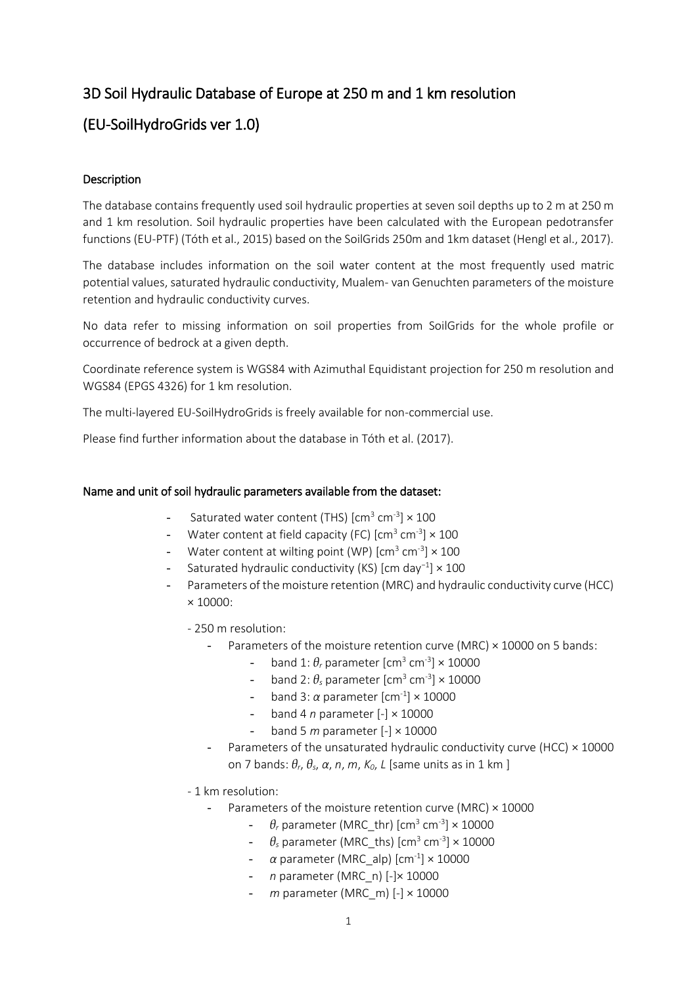# 3D Soil Hydraulic Database of Europe at 250 m and 1 km resolution

# (EU-SoilHydroGrids ver 1.0)

## Description

The database contains frequently used soil hydraulic properties at seven soil depths up to 2 m at 250 m and 1 km resolution. Soil hydraulic properties have been calculated with the European pedotransfer functions (EU-PTF) (Tóth et al., 2015) based on the SoilGrids 250m and 1km dataset (Hengl et al., 2017).

The database includes information on the soil water content at the most frequently used matric potential values, saturated hydraulic conductivity, Mualem- van Genuchten parameters of the moisture retention and hydraulic conductivity curves.

No data refer to missing information on soil properties from SoilGrids for the whole profile or occurrence of bedrock at a given depth.

Coordinate reference system is WGS84 with Azimuthal Equidistant projection for 250 m resolution and WGS84 (EPGS 4326) for 1 km resolution.

The multi-layered EU-SoilHydroGrids is freely available for non-commercial use.

Please find further information about the database in Tóth et al. (2017).

### Name and unit of soil hydraulic parameters available from the dataset:

- Saturated water content (THS)  $\text{[cm}^3 \text{ cm}^{-3} \text{]} \times 100$
- Water content at field capacity (FC)  $\text{[cm}^3 \text{ cm}^{-3} \times 100$
- Water content at wilting point (WP)  $\mathrm{[cm^3\,cm^3]}\times 100$
- Saturated hydraulic conductivity (KS) [cm day<sup>−</sup><sup>1</sup> ] × 100
- Parameters of the moisture retention (MRC) and hydraulic conductivity curve (HCC) × 10000:
	- 250 m resolution:
		- Parameters of the moisture retention curve (MRC)  $\times$  10000 on 5 bands:
			- band 1:  $\theta$ , parameter [cm<sup>3</sup> cm<sup>-3</sup>] × 10000
			- band 2:  $\theta_s$  parameter [cm<sup>3</sup> cm<sup>-3</sup>]  $\times$  10000
			- band 3:  $\alpha$  parameter [cm<sup>-1</sup>] × 10000
			- band 4 *n* parameter [-] × 10000
			- band 5 *m* parameter [-] × 10000
		- Parameters of the unsaturated hydraulic conductivity curve (HCC) × 10000 on 7 bands: *θr*, *θs*, *α*, *n*, *m*, *K0*, *L* [same units as in 1 km ]
	- 1 km resolution:
		- Parameters of the moisture retention curve (MRC)  $\times$  10000
			- $\theta$ <sub>r</sub> parameter (MRC\_thr) [cm<sup>3</sup> cm<sup>-3</sup>] × 10000
			- $\theta_s$  parameter (MRC\_ths) [cm<sup>3</sup> cm<sup>-3</sup>]  $\times$  10000
			- *α* parameter (MRC\_alp) [cm-1 ] × 10000
			- *n* parameter (MRC\_n) [-]× 10000
			- *m* parameter (MRC\_m) [-] × 10000